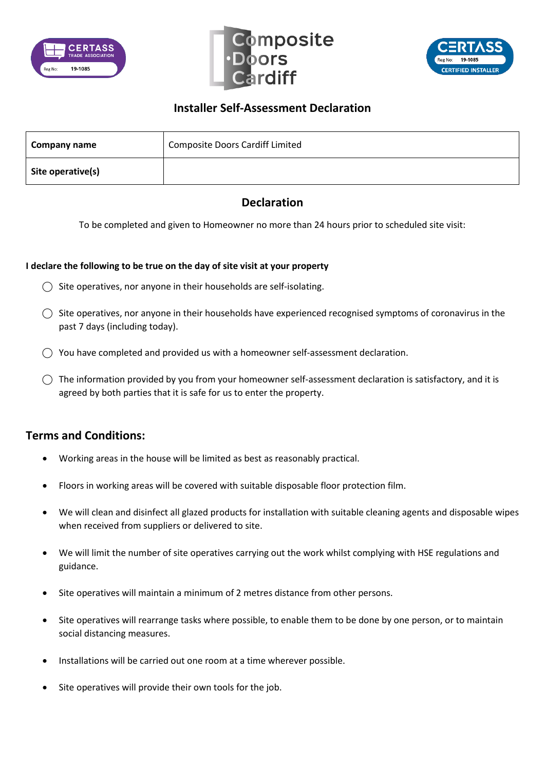





## **Installer Self-Assessment Declaration**

| Company name      | <b>Composite Doors Cardiff Limited</b> |
|-------------------|----------------------------------------|
| Site operative(s) |                                        |

## **Declaration**

To be completed and given to Homeowner no more than 24 hours prior to scheduled site visit:

## **I declare the following to be true on the day of site visit at your property**

- $\bigcirc$  Site operatives, nor anyone in their households are self-isolating.
- $\bigcirc$  Site operatives, nor anyone in their households have experienced recognised symptoms of coronavirus in the past 7 days (including today).
- $\bigcirc$  You have completed and provided us with a homeowner self-assessment declaration.
- $\bigcirc$  The information provided by you from your homeowner self-assessment declaration is satisfactory, and it is agreed by both parties that it is safe for us to enter the property.

## **Terms and Conditions:**

- Working areas in the house will be limited as best as reasonably practical.
- Floors in working areas will be covered with suitable disposable floor protection film.
- We will clean and disinfect all glazed products for installation with suitable cleaning agents and disposable wipes when received from suppliers or delivered to site.
- We will limit the number of site operatives carrying out the work whilst complying with HSE regulations and guidance.
- Site operatives will maintain a minimum of 2 metres distance from other persons.
- Site operatives will rearrange tasks where possible, to enable them to be done by one person, or to maintain social distancing measures.
- Installations will be carried out one room at a time wherever possible.
- Site operatives will provide their own tools for the job.